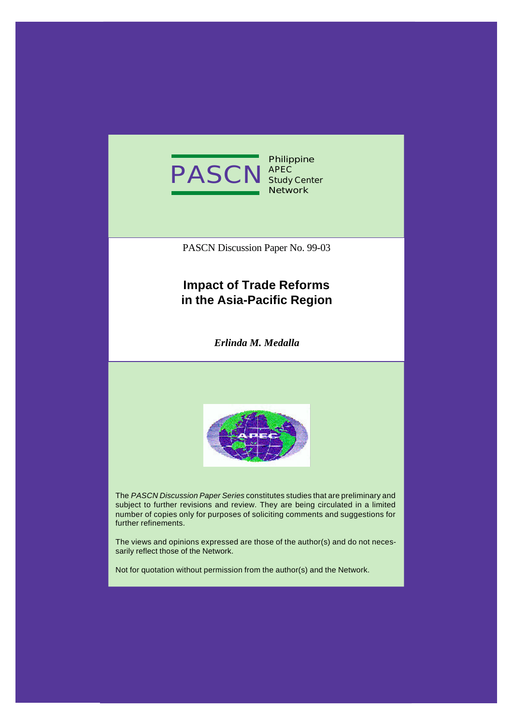

**Philippine APEC Study Center Network**

PASCN Discussion Paper No. 99-03

# **Impact of Trade Reforms in the Asia-Pacific Region**

*Erlinda M. Medalla*



The *PASCN Discussion Paper Series* constitutes studies that are preliminary and subject to further revisions and review. They are being circulated in a limited number of copies only for purposes of soliciting comments and suggestions for further refinements.

The views and opinions expressed are those of the author(s) and do not necessarily reflect those of the Network.

Not for quotation without permission from the author(s) and the Network.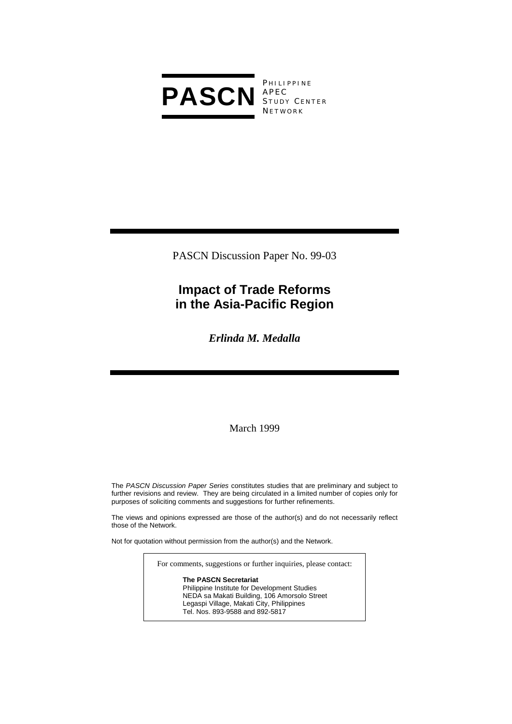

**PHILIPPINE** S TUDY C ENTER **NETWORK** 

PASCN Discussion Paper No. 99-03

# **Impact of Trade Reforms in the Asia-Pacific Region**

*Erlinda M. Medalla* 

March 1999

The *PASCN Discussion Paper Series* constitutes studies that are preliminary and subject to further revisions and review. They are being circulated in a limited number of copies only for purposes of soliciting comments and suggestions for further refinements.

The views and opinions expressed are those of the author(s) and do not necessarily reflect those of the Network.

Not for quotation without permission from the author(s) and the Network.

For comments, suggestions or further inquiries, please contact:

#### **The PASCN Secretariat**

Philippine Institute for Development Studies NEDA sa Makati Building, 106 Amorsolo Street Legaspi Village, Makati City, Philippines Tel. Nos. 893-9588 and 892-5817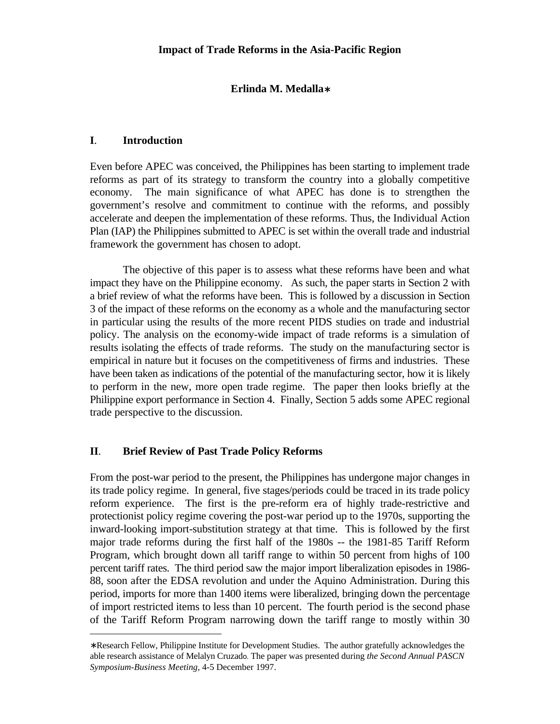## **Erlinda M. Medalla**∗

### **I**. **Introduction**

 $\overline{a}$ 

Even before APEC was conceived, the Philippines has been starting to implement trade reforms as part of its strategy to transform the country into a globally competitive economy. The main significance of what APEC has done is to strengthen the government's resolve and commitment to continue with the reforms, and possibly accelerate and deepen the implementation of these reforms. Thus, the Individual Action Plan (IAP) the Philippines submitted to APEC is set within the overall trade and industrial framework the government has chosen to adopt.

The objective of this paper is to assess what these reforms have been and what impact they have on the Philippine economy. As such, the paper starts in Section 2 with a brief review of what the reforms have been. This is followed by a discussion in Section 3 of the impact of these reforms on the economy as a whole and the manufacturing sector in particular using the results of the more recent PIDS studies on trade and industrial policy. The analysis on the economy-wide impact of trade reforms is a simulation of results isolating the effects of trade reforms. The study on the manufacturing sector is empirical in nature but it focuses on the competitiveness of firms and industries. These have been taken as indications of the potential of the manufacturing sector, how it is likely to perform in the new, more open trade regime. The paper then looks briefly at the Philippine export performance in Section 4. Finally, Section 5 adds some APEC regional trade perspective to the discussion.

### **II**. **Brief Review of Past Trade Policy Reforms**

From the post-war period to the present, the Philippines has undergone major changes in its trade policy regime. In general, five stages/periods could be traced in its trade policy reform experience. The first is the pre-reform era of highly trade-restrictive and protectionist policy regime covering the post-war period up to the 1970s, supporting the inward-looking import-substitution strategy at that time. This is followed by the first major trade reforms during the first half of the 1980s -- the 1981-85 Tariff Reform Program, which brought down all tariff range to within 50 percent from highs of 100 percent tariff rates. The third period saw the major import liberalization episodes in 1986- 88, soon after the EDSA revolution and under the Aquino Administration. During this period, imports for more than 1400 items were liberalized, bringing down the percentage of import restricted items to less than 10 percent. The fourth period is the second phase of the Tariff Reform Program narrowing down the tariff range to mostly within 30

<sup>∗</sup> Research Fellow, Philippine Institute for Development Studies. The author gratefully acknowledges the able research assistance of Melalyn Cruzado. The paper was presented during *the Second Annual PASCN Symposium-Business Meeting*, 4-5 December 1997.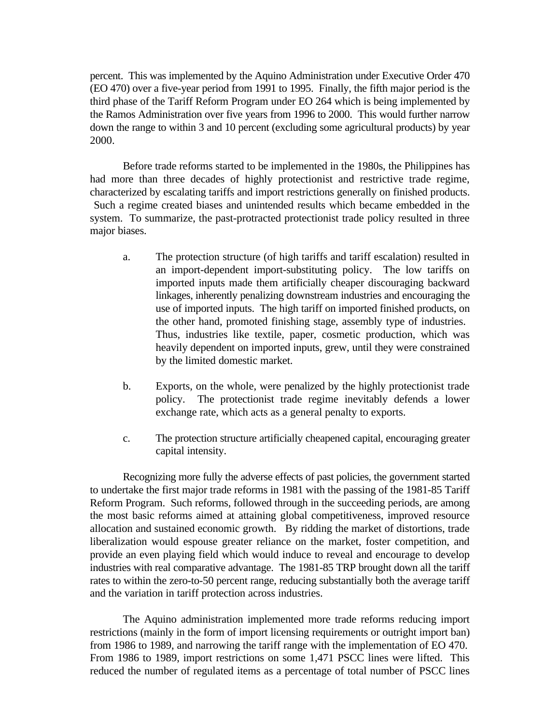percent. This was implemented by the Aquino Administration under Executive Order 470 (EO 470) over a five-year period from 1991 to 1995. Finally, the fifth major period is the third phase of the Tariff Reform Program under EO 264 which is being implemented by the Ramos Administration over five years from 1996 to 2000. This would further narrow down the range to within 3 and 10 percent (excluding some agricultural products) by year 2000.

Before trade reforms started to be implemented in the 1980s, the Philippines has had more than three decades of highly protectionist and restrictive trade regime, characterized by escalating tariffs and import restrictions generally on finished products. Such a regime created biases and unintended results which became embedded in the system. To summarize, the past-protracted protectionist trade policy resulted in three major biases.

- a. The protection structure (of high tariffs and tariff escalation) resulted in an import-dependent import-substituting policy. The low tariffs on imported inputs made them artificially cheaper discouraging backward linkages, inherently penalizing downstream industries and encouraging the use of imported inputs. The high tariff on imported finished products, on the other hand, promoted finishing stage, assembly type of industries. Thus, industries like textile, paper, cosmetic production, which was heavily dependent on imported inputs, grew, until they were constrained by the limited domestic market.
- b. Exports, on the whole, were penalized by the highly protectionist trade policy. The protectionist trade regime inevitably defends a lower exchange rate, which acts as a general penalty to exports.
- c. The protection structure artificially cheapened capital, encouraging greater capital intensity.

Recognizing more fully the adverse effects of past policies, the government started to undertake the first major trade reforms in 1981 with the passing of the 1981-85 Tariff Reform Program. Such reforms, followed through in the succeeding periods, are among the most basic reforms aimed at attaining global competitiveness, improved resource allocation and sustained economic growth. By ridding the market of distortions, trade liberalization would espouse greater reliance on the market, foster competition, and provide an even playing field which would induce to reveal and encourage to develop industries with real comparative advantage. The 1981-85 TRP brought down all the tariff rates to within the zero-to-50 percent range, reducing substantially both the average tariff and the variation in tariff protection across industries.

The Aquino administration implemented more trade reforms reducing import restrictions (mainly in the form of import licensing requirements or outright import ban) from 1986 to 1989, and narrowing the tariff range with the implementation of EO 470. From 1986 to 1989, import restrictions on some 1,471 PSCC lines were lifted. This reduced the number of regulated items as a percentage of total number of PSCC lines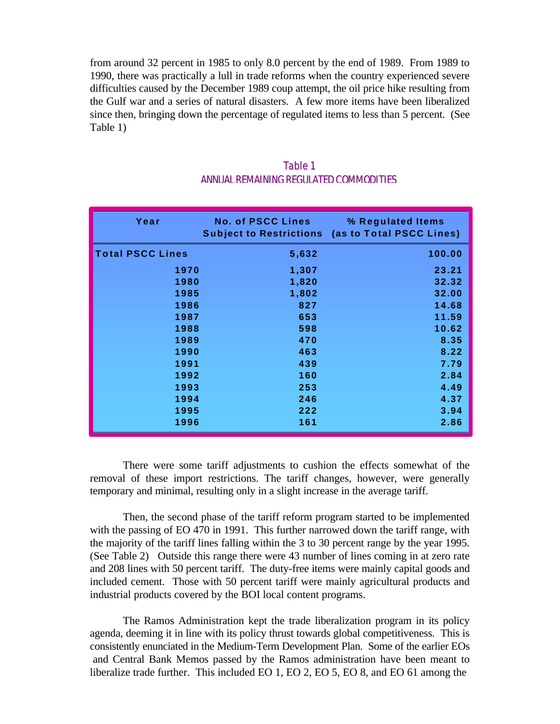from around 32 percent in 1985 to only 8.0 percent by the end of 1989. From 1989 to 1990, there was practically a lull in trade reforms when the country experienced severe difficulties caused by the December 1989 coup attempt, the oil price hike resulting from the Gulf war and a series of natural disasters. A few more items have been liberalized since then, bringing down the percentage of regulated items to less than 5 percent. (See Table 1)

| Year                    | <b>No. of PSCC Lines</b> | % Regulated Items<br><b>Subject to Restrictions (as to Total PSCC Lines)</b> |
|-------------------------|--------------------------|------------------------------------------------------------------------------|
| <b>Total PSCC Lines</b> | 5,632                    | 100.00                                                                       |
| 1970                    | 1,307                    | 23.21                                                                        |
| 1980                    | 1,820                    | 32.32                                                                        |
| 1985                    | 1,802                    | 32.00                                                                        |
| 1986                    | 827                      | 14.68                                                                        |
| 1987                    | 653                      | 11.59                                                                        |
| 1988                    | 598                      | 10.62                                                                        |
| 1989                    | 470                      | 8.35                                                                         |
| 1990                    | 463                      | 8.22                                                                         |
| 1991                    | 439                      | 7.79                                                                         |
| 1992                    | 160                      | 2.84                                                                         |
| 1993                    | 253                      | 4.49                                                                         |
| 1994                    | 246                      | 4.37                                                                         |
| 1995                    | 222                      | 3.94                                                                         |
| 1996                    | 161                      | 2.86                                                                         |

# Table 1 ANNUAL REMAINING REGULATED COMMODITIES

There were some tariff adjustments to cushion the effects somewhat of the removal of these import restrictions. The tariff changes, however, were generally temporary and minimal, resulting only in a slight increase in the average tariff.

Then, the second phase of the tariff reform program started to be implemented with the passing of EO 470 in 1991. This further narrowed down the tariff range, with the majority of the tariff lines falling within the 3 to 30 percent range by the year 1995. (See Table 2) Outside this range there were 43 number of lines coming in at zero rate and 208 lines with 50 percent tariff. The duty-free items were mainly capital goods and included cement. Those with 50 percent tariff were mainly agricultural products and industrial products covered by the BOI local content programs.

The Ramos Administration kept the trade liberalization program in its policy agenda, deeming it in line with its policy thrust towards global competitiveness. This is consistently enunciated in the Medium-Term Development Plan. Some of the earlier EOs and Central Bank Memos passed by the Ramos administration have been meant to liberalize trade further. This included EO 1, EO 2, EO 5, EO 8, and EO 61 among the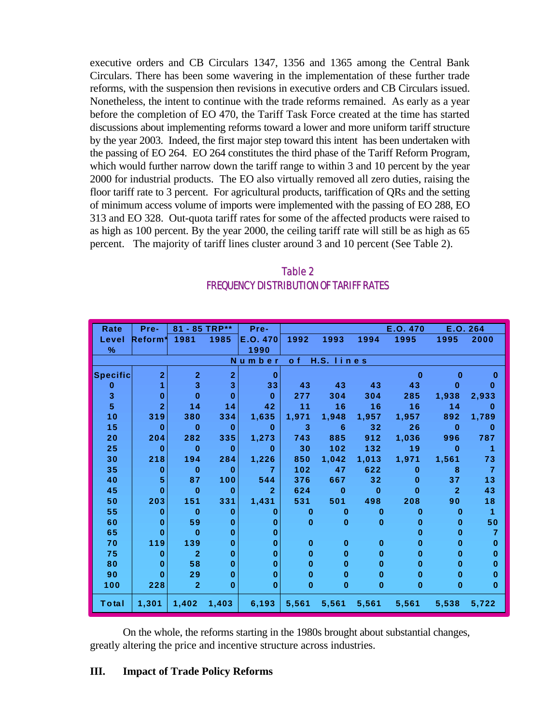executive orders and CB Circulars 1347, 1356 and 1365 among the Central Bank Circulars. There has been some wavering in the implementation of these further trade reforms, with the suspension then revisions in executive orders and CB Circulars issued. Nonetheless, the intent to continue with the trade reforms remained. As early as a year before the completion of EO 470, the Tariff Task Force created at the time has started discussions about implementing reforms toward a lower and more uniform tariff structure by the year 2003. Indeed, the first major step toward this intent has been undertaken with the passing of EO 264. EO 264 constitutes the third phase of the Tariff Reform Program, which would further narrow down the tariff range to within 3 and 10 percent by the year 2000 for industrial products. The EO also virtually removed all zero duties, raising the floor tariff rate to 3 percent. For agricultural products, tariffication of QRs and the setting of minimum access volume of imports were implemented with the passing of EO 288, EO 313 and EO 328. Out-quota tariff rates for some of the affected products were raised to as high as 100 percent. By the year 2000, the ceiling tariff rate will still be as high as 65 percent. The majority of tariff lines cluster around 3 and 10 percent (See Table 2).

# Table 2 FREQUENCY DISTRIBUTION OF TARIFF RATES

| Rate            | Pre-           | 81 - 85 TRP**  |                | Pre-           |              |            |          | E.O. 470 | E.O. 264       |                |
|-----------------|----------------|----------------|----------------|----------------|--------------|------------|----------|----------|----------------|----------------|
| Level           | Reform*        | 1981           | 1985           | E.O. 470       | 1992         | 1993       | 1994     | 1995     | 1995           | 2000           |
| $\%$            |                |                |                | 1990           |              |            |          |          |                |                |
|                 |                |                |                | Number         | o f          | H.S. lines |          |          |                |                |
| <b>Specific</b> | $\overline{2}$ | $\overline{2}$ | $\overline{2}$ | $\bf{0}$       |              |            |          | $\bf{0}$ | 0              | $\bf{0}$       |
| $\bf{0}$        | 1              | 3              | 3              | 33             | 43           | 43         | 43       | 43       | 0              | $\bf{0}$       |
| 3               | $\bf{0}$       | $\bf{0}$       | $\bf{0}$       | $\mathbf{0}$   | 277          | 304        | 304      | 285      | 1,938          | 2,933          |
| 5               | $\overline{2}$ | 14             | 14             | 42             | 11           | 16         | 16       | 16       | 14             | $\bf{0}$       |
| 10              | 319            | 380            | 334            | 1,635          | 1,971        | 1,948      | 1,957    | 1,957    | 892            | 1,789          |
| 15              | O              | $\bf{0}$       | $\bf{0}$       | $\mathbf{0}$   | 3            | 6          | 32       | 26       | $\bf{0}$       | $\bf{0}$       |
| 20              | 204            | 282            | 335            | 1,273          | 743          | 885        | 912      | 1,036    | 996            | 787            |
| 25              | $\bf{0}$       | $\bf{0}$       | $\bf{0}$       | $\bf{0}$       | 30           | 102        | 132      | 19       | $\bf{0}$       | 1              |
| 30              | 218            | 194            | 284            | 1,226          | 850          | 1,042      | 1,013    | 1,971    | 1,561          | 73             |
| 35              | $\bf{0}$       | $\bf{0}$       | $\bf{0}$       | $\overline{7}$ | 102          | 47         | 622      | $\bf{0}$ | 8              | $\overline{7}$ |
| 40              | 5              | 87             | 100            | 544            | 376          | 667        | 32       | $\bf{0}$ | 37             | 13             |
| 45              | O              | $\bf{0}$       | 0              | $\overline{2}$ | 624          | $\bf{0}$   | $\bf{0}$ | $\bf{0}$ | $\overline{2}$ | 43             |
| 50              | 203            | 151            | 331            | 1,431          | 531          | 501        | 498      | 208      | 90             | 18             |
| 55              | $\bf{0}$       | $\bf{0}$       | 0              | 0              | $\bf{0}$     | $\bf{0}$   | $\bf{0}$ | 0        | $\bf{0}$       | 1              |
| 60              | $\bf{0}$       | 59             | 0              | $\bf{0}$       | $\mathbf{0}$ | $\bf{0}$   | $\bf{0}$ | 0        | $\bf{0}$       | 50             |
| 65              | $\bf{0}$       | $\bf{0}$       | $\bf{0}$       | $\bf{0}$       |              |            |          | 0        | $\bf{0}$       | $\overline{7}$ |
| 70              | 119            | 139            | 0              | $\bf{0}$       | $\bf{0}$     | $\bf{0}$   | $\bf{0}$ | 0        | 0              | $\bf{0}$       |
| 75              | 0              | $\overline{2}$ | $\bf{0}$       | $\bf{0}$       | $\bf{0}$     | $\bf{0}$   | $\bf{0}$ | $\bf{0}$ | $\bf{0}$       | 0              |
| 80              | $\bf{0}$       | 58             | $\bf{0}$       | $\bf{0}$       | $\bf{0}$     | 0          | $\bf{0}$ | $\bf{0}$ | $\bf{0}$       | $\bf{0}$       |
| 90              | O              | 29             | $\bf{0}$       | $\bf{0}$       | $\bf{0}$     | $\bf{0}$   | 0        | $\bf{0}$ | 0              | $\bf{0}$       |
| 100             | 228            | $\overline{2}$ | $\bf{0}$       | $\bf{0}$       | $\bf{0}$     | 0          | $\bf{0}$ | 0        | $\bf{0}$       | $\bf{0}$       |
| Total           | 1,301          | 1,402          | 1,403          | 6,193          | 5,561        | 5,561      | 5,561    | 5,561    | 5,538          | 5,722          |

On the whole, the reforms starting in the 1980s brought about substantial changes, greatly altering the price and incentive structure across industries.

## **III. Impact of Trade Policy Reforms**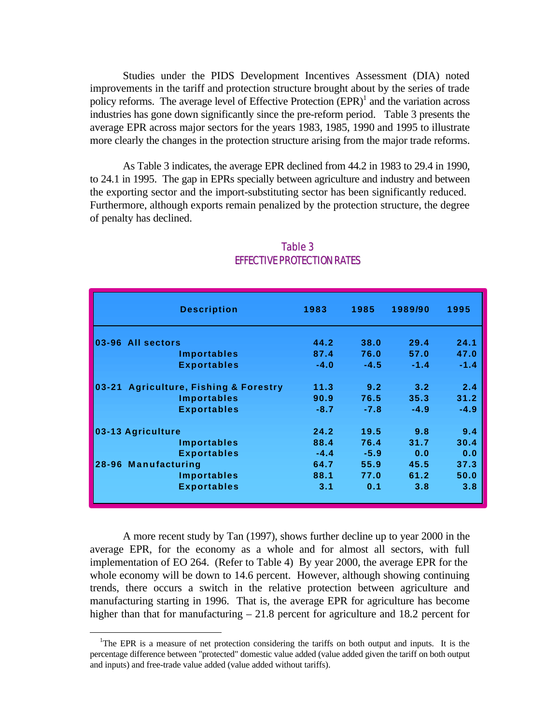Studies under the PIDS Development Incentives Assessment (DIA) noted improvements in the tariff and protection structure brought about by the series of trade policy reforms. The average level of Effective Protection  $(EPR)^{1}$  and the variation across industries has gone down significantly since the pre-reform period. Table 3 presents the average EPR across major sectors for the years 1983, 1985, 1990 and 1995 to illustrate more clearly the changes in the protection structure arising from the major trade reforms.

As Table 3 indicates, the average EPR declined from 44.2 in 1983 to 29.4 in 1990, to 24.1 in 1995. The gap in EPRs specially between agriculture and industry and between the exporting sector and the import-substituting sector has been significantly reduced. Furthermore, although exports remain penalized by the protection structure, the degree of penalty has declined.

| <b>Description</b>                                      | 1983   | 1985   | 1989/90       | 1995   |
|---------------------------------------------------------|--------|--------|---------------|--------|
| 03-96 All sectors                                       | 44.2   | 38.0   | 29.4          | 24.1   |
| <b>Importables</b>                                      | 87.4   | 76.0   | 57.0          | 47.0   |
| <b>Exportables</b>                                      | $-4.0$ | $-4.5$ | $-1.4$        | $-1.4$ |
| <b>Agriculture, Fishing &amp; Forestry</b><br>$03 - 21$ | 11.3   | 9.2    | $3.2^{\circ}$ | 2.4    |
| <b>Importables</b>                                      | 90.9   | 76.5   | 35.3          | 31.2   |
| <b>Exportables</b>                                      | $-8.7$ | $-7.8$ | $-4.9$        | $-4.9$ |
| 03-13 Agriculture                                       | 24.2   | 19.5   | 9.8           | 9.4    |
| Importables                                             | 88.4   | 76.4   | 31.7          | 30.4   |
| <b>Exportables</b>                                      | $-4.4$ | $-5.9$ | 0.0           | 0.0    |
| 28-96 Manufacturing                                     | 64.7   | 55.9   | 45.5          | 37.3   |
| <b>Importables</b>                                      | 88.1   | 77.0   | 61.2          | 50.0   |
| <b>Exportables</b>                                      | 3.1    | 0.1    | 3.8           | 3.8    |

# Table 3 EFFECTIVE PROTECTION RATES

A more recent study by Tan (1997), shows further decline up to year 2000 in the average EPR, for the economy as a whole and for almost all sectors, with full implementation of EO 264. (Refer to Table 4) By year 2000, the average EPR for the whole economy will be down to 14.6 percent. However, although showing continuing trends, there occurs a switch in the relative protection between agriculture and manufacturing starting in 1996. That is, the average EPR for agriculture has become higher than that for manufacturing – 21.8 percent for agriculture and 18.2 percent for

 $\overline{a}$ 

<sup>&</sup>lt;sup>1</sup>The EPR is a measure of net protection considering the tariffs on both output and inputs. It is the percentage difference between "protected" domestic value added (value added given the tariff on both output and inputs) and free-trade value added (value added without tariffs).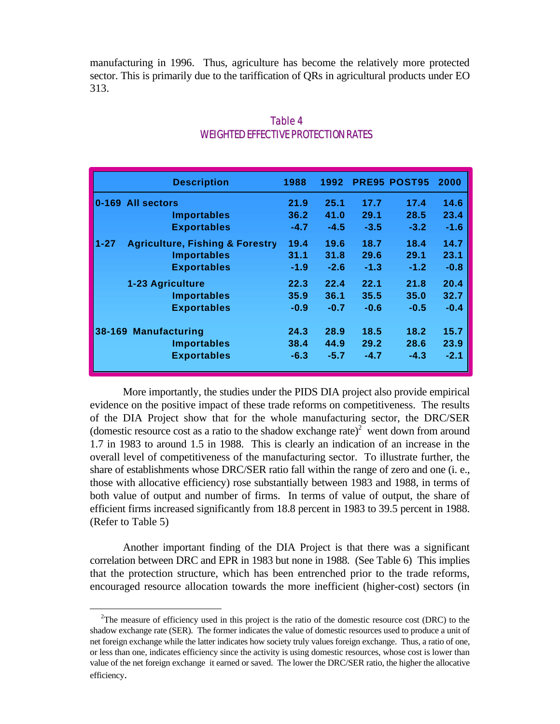manufacturing in 1996. Thus, agriculture has become the relatively more protected sector. This is primarily due to the tariffication of QRs in agricultural products under EO 313.

|          | <b>Description</b>                         | 1988   | 1992   |        | <b>PRE95 POST95</b> | 2000   |
|----------|--------------------------------------------|--------|--------|--------|---------------------|--------|
|          | 0-169 All sectors                          | 21.9   | 25.1   | 17.7   | 17.4                | 14.6   |
|          | <b>Importables</b>                         | 36.2   | 41.0   | 29.1   | 28.5                | 23.4   |
|          | <b>Exportables</b>                         | $-4.7$ | $-4.5$ | $-3.5$ | $-3.2$              | $-1.6$ |
| $1 - 27$ | <b>Agriculture, Fishing &amp; Forestry</b> | 19.4   | 19.6   | 18.7   | 18.4                | 14.7   |
|          | <b>Importables</b>                         | 31.1   | 31.8   | 29.6   | 29.1                | 23.1   |
|          | <b>Exportables</b>                         | $-1.9$ | $-2.6$ | $-1.3$ | $-1.2$              | $-0.8$ |
|          | 1-23 Agriculture                           | 22.3   | 22.4   | 22.1   | 21.8                | 20.4   |
|          | <b>Importables</b>                         | 35.9   | 36.1   | 35.5   | 35.0                | 32.7   |
|          | <b>Exportables</b>                         | $-0.9$ | $-0.7$ | $-0.6$ | $-0.5$              | $-0.4$ |
|          | 38-169 Manufacturing                       | 24.3   | 28.9   | 18.5   | 18.2                | 15.7   |
|          | <b>Importables</b>                         | 38.4   | 44.9   | 29.2   | 28.6                | 23.9   |
|          | <b>Exportables</b>                         | $-6.3$ | $-5.7$ | $-4.7$ | $-4.3$              | $-2.1$ |

# Table 4 WEIGHTED EFFECTIVE PROTECTION RATES

More importantly, the studies under the PIDS DIA project also provide empirical evidence on the positive impact of these trade reforms on competitiveness. The results of the DIA Project show that for the whole manufacturing sector, the DRC/SER (domestic resource cost as a ratio to the shadow exchange rate)<sup>2</sup> went down from around 1.7 in 1983 to around 1.5 in 1988. This is clearly an indication of an increase in the overall level of competitiveness of the manufacturing sector. To illustrate further, the share of establishments whose DRC/SER ratio fall within the range of zero and one (i. e., those with allocative efficiency) rose substantially between 1983 and 1988, in terms of both value of output and number of firms. In terms of value of output, the share of efficient firms increased significantly from 18.8 percent in 1983 to 39.5 percent in 1988. (Refer to Table 5)

Another important finding of the DIA Project is that there was a significant correlation between DRC and EPR in 1983 but none in 1988. (See Table 6) This implies that the protection structure, which has been entrenched prior to the trade reforms, encouraged resource allocation towards the more inefficient (higher-cost) sectors (in

 $\overline{a}$ 

<sup>&</sup>lt;sup>2</sup>The measure of efficiency used in this project is the ratio of the domestic resource cost (DRC) to the shadow exchange rate (SER). The former indicates the value of domestic resources used to produce a unit of net foreign exchange while the latter indicates how society truly values foreign exchange. Thus, a ratio of one, or less than one, indicates efficiency since the activity is using domestic resources, whose cost is lower than value of the net foreign exchange it earned or saved. The lower the DRC/SER ratio, the higher the allocative efficiency.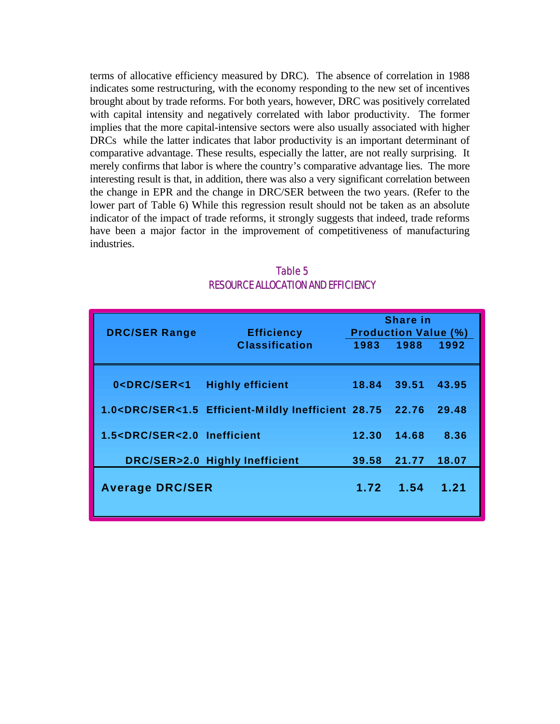terms of allocative efficiency measured by DRC). The absence of correlation in 1988 indicates some restructuring, with the economy responding to the new set of incentives brought about by trade reforms. For both years, however, DRC was positively correlated with capital intensity and negatively correlated with labor productivity. The former implies that the more capital-intensive sectors were also usually associated with higher DRCs while the latter indicates that labor productivity is an important determinant of comparative advantage. These results, especially the latter, are not really surprising. It merely confirms that labor is where the country's comparative advantage lies. The more interesting result is that, in addition, there was also a very significant correlation between the change in EPR and the change in DRC/SER between the two years. (Refer to the lower part of Table 6) While this regression result should not be taken as an absolute indicator of the impact of trade reforms, it strongly suggests that indeed, trade reforms have been a major factor in the improvement of competitiveness of manufacturing industries.

| <b>DRC/SER Range</b>                                                                                    | <b>Efficiency</b>                                                                                                  |       | Share in<br><b>Production Value (%)</b> |       |
|---------------------------------------------------------------------------------------------------------|--------------------------------------------------------------------------------------------------------------------|-------|-----------------------------------------|-------|
|                                                                                                         | <b>Classification</b>                                                                                              | 1983  | 1988                                    | 1992  |
| 0 <drc ser<1<="" td=""><td><b>Highly efficient</b></td><td>18.84</td><td>39.51</td><td>43.95</td></drc> | <b>Highly efficient</b>                                                                                            | 18.84 | 39.51                                   | 43.95 |
|                                                                                                         | 1.0 <drc 28.75<="" efficient-mildly="" inefficient="" ser<1.5="" td=""><td></td><td>22.76</td><td>29.48</td></drc> |       | 22.76                                   | 29.48 |
| 1.5 <drc inefficient<="" ser<2.0="" td=""><td></td><td>12.30</td><td>14.68</td><td>8.36</td></drc>      |                                                                                                                    | 12.30 | 14.68                                   | 8.36  |
|                                                                                                         | DRC/SER>2.0 Highly Inefficient                                                                                     | 39.58 | 21.77                                   | 18.07 |
| <b>Average DRC/SER</b>                                                                                  |                                                                                                                    | 1.72  | $-1.54$                                 | 1.21  |

Table 5 RESOURCE ALLOCATION AND EFFICIENCY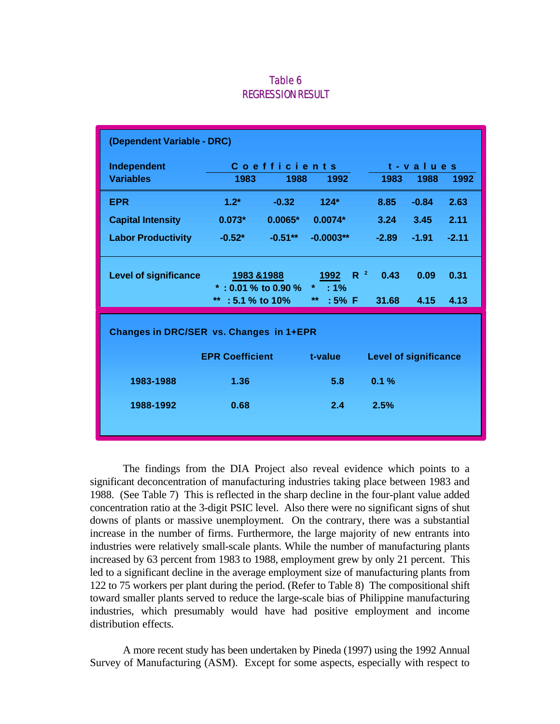### Table 6 REGRESSION RESULT

| (Dependent Variable - DRC)              |                                    |                                 |                                      |                              |         |         |  |
|-----------------------------------------|------------------------------------|---------------------------------|--------------------------------------|------------------------------|---------|---------|--|
| Independent                             |                                    | <b>Coefficients</b><br>t-values |                                      |                              |         |         |  |
| <b>Variables</b>                        | 1983                               | 1988                            | 1992                                 | 1983                         | 1988    | 1992    |  |
| <b>EPR</b>                              | $1.2*$                             | $-0.32$                         | $124*$                               | 8.85                         | $-0.84$ | 2.63    |  |
| <b>Capital Intensity</b>                | $0.073*$                           | $0.0065*$                       | $0.0074*$                            | 3.24                         | 3.45    | 2.11    |  |
| <b>Labor Productivity</b>               | $-0.52*$                           | $-0.51***$                      | $-0.0003**$                          | $-2.89$                      | $-1.91$ | $-2.11$ |  |
| <b>Level of significance</b>            | 1983 & 1988<br>*: 0.01 % to 0.90 % |                                 | $R^2$<br>1992<br>$\star$ .<br>$:1\%$ | 0.43                         | 0.09    | 0.31    |  |
|                                         | ** : $5.1\%$ to $10\%$             |                                 | $**$<br>$:5\%$ F                     | 31.68                        | 4.15    | 4.13    |  |
| Changes in DRC/SER vs. Changes in 1+EPR |                                    |                                 |                                      |                              |         |         |  |
|                                         | <b>EPR Coefficient</b>             |                                 | t-value                              | <b>Level of significance</b> |         |         |  |
| 1983-1988                               | 1.36                               |                                 | 5.8                                  | 0.1%                         |         |         |  |
| 1988-1992                               | 0.68                               |                                 | 2.4                                  | 2.5%                         |         |         |  |
|                                         |                                    |                                 |                                      |                              |         |         |  |

The findings from the DIA Project also reveal evidence which points to a significant deconcentration of manufacturing industries taking place between 1983 and 1988. (See Table 7) This is reflected in the sharp decline in the four-plant value added concentration ratio at the 3-digit PSIC level. Also there were no significant signs of shut downs of plants or massive unemployment. On the contrary, there was a substantial increase in the number of firms. Furthermore, the large majority of new entrants into industries were relatively small-scale plants. While the number of manufacturing plants increased by 63 percent from 1983 to 1988, employment grew by only 21 percent. This led to a significant decline in the average employment size of manufacturing plants from 122 to 75 workers per plant during the period. (Refer to Table 8) The compositional shift toward smaller plants served to reduce the large-scale bias of Philippine manufacturing industries, which presumably would have had positive employment and income distribution effects.

A more recent study has been undertaken by Pineda (1997) using the 1992 Annual Survey of Manufacturing (ASM). Except for some aspects, especially with respect to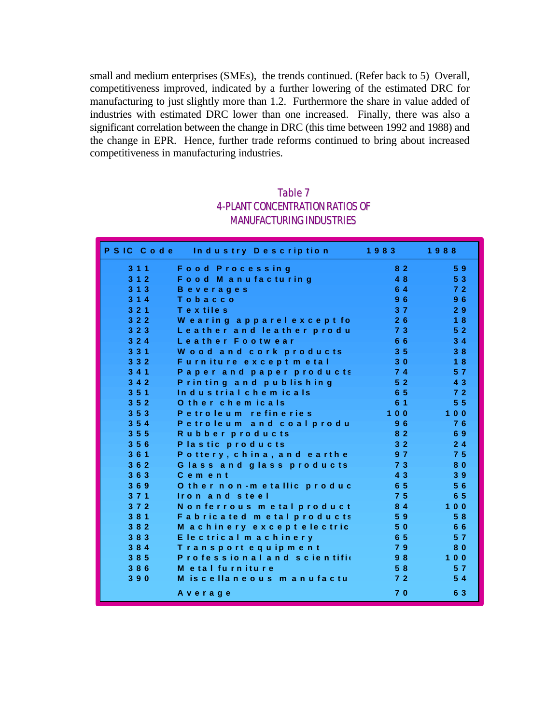small and medium enterprises (SMEs), the trends continued. (Refer back to 5) Overall, competitiveness improved, indicated by a further lowering of the estimated DRC for manufacturing to just slightly more than 1.2. Furthermore the share in value added of industries with estimated DRC lower than one increased. Finally, there was also a significant correlation between the change in DRC (this time between 1992 and 1988) and the change in EPR. Hence, further trade reforms continued to bring about increased competitiveness in manufacturing industries.

# Table 7 4-PLANT CONCENTRATION RATIOS OF MANUFACTURING INDUSTRIES

|     | PSIC Code Industry Description | 1983           | 1988           |
|-----|--------------------------------|----------------|----------------|
| 311 | <b>Food Processing</b>         | 82             | 59             |
| 312 | Food Manufacturing             | 48             | 53             |
| 313 | <b>Beverages</b>               | 64             | 72             |
| 314 | Tobacco                        | 96             | 96             |
| 321 | Textiles                       | 37             | 29             |
| 322 | Wearing apparelexcept fo       | 26             | 18             |
| 323 | Leather and leather produ      | 73             | 5 <sub>2</sub> |
| 324 | Leather Footwear               | 66             | 34             |
| 331 | Wood and cork products         | 3 <sub>5</sub> | 38             |
| 332 | Furniture except metal         | 30             | 18             |
| 341 | Paper and paper products       | 74             | 57             |
| 342 | Printing and publishing        | 5 <sub>2</sub> | 4 3            |
| 351 | Industrial chemicals           | 65             | 72             |
| 352 | O ther chemicals               | 6 1            | 5 <sub>5</sub> |
| 353 | Petroleum refineries           | $100$          | $100$          |
| 354 | Petroleum and coal produ       | 96             | 76             |
| 355 | Rubber products                | 82             | 69             |
| 356 | Plastic products               | 3 <sub>2</sub> | 24             |
| 361 | Pottery, china, and earthe     | 9 <sub>7</sub> | 7 <sub>5</sub> |
| 362 | Glass and glass products       | 73             | 80             |
| 363 | Cement                         | 4 3            | 39             |
| 369 | O ther non-metallic produc     | 65             | 56             |
| 371 | Iron and steel                 | 7 <sub>5</sub> | 6 5            |
| 372 | Nonferrous metal product       | 84             | $100$          |
| 381 | Fabricated metal products      | 59             | 58             |
| 382 | M achinery except electric     | 50             | 66             |
| 383 | Electrical machinery           | 65             | 57             |
| 384 | Transport equipment            | 79             | 80             |
| 385 | Professional and scientific    | 98             | $100$          |
| 386 | M etal furniture               | 58             | 57             |
| 390 | M is cellaneous manufactu      | 72             | 54             |
|     | Average                        | 70             | 6 3            |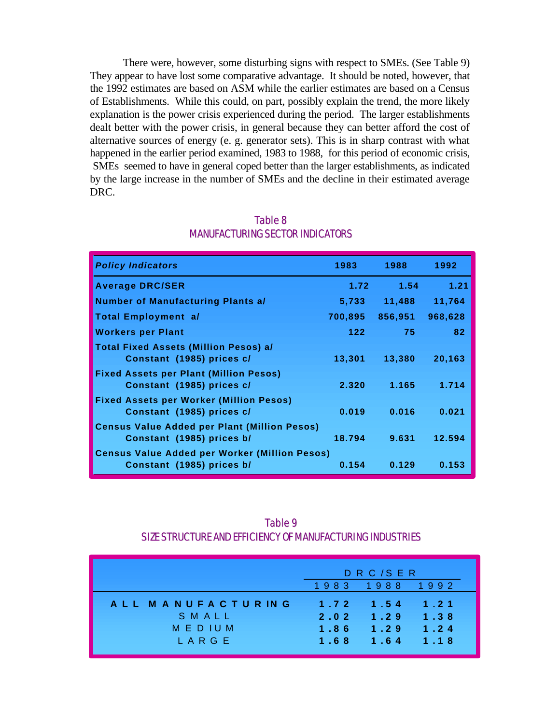There were, however, some disturbing signs with respect to SMEs. (See Table 9) They appear to have lost some comparative advantage. It should be noted, however, that the 1992 estimates are based on ASM while the earlier estimates are based on a Census of Establishments. While this could, on part, possibly explain the trend, the more likely explanation is the power crisis experienced during the period. The larger establishments dealt better with the power crisis, in general because they can better afford the cost of alternative sources of energy (e. g. generator sets). This is in sharp contrast with what happened in the earlier period examined, 1983 to 1988, for this period of economic crisis, SMEs seemed to have in general coped better than the larger establishments, as indicated by the large increase in the number of SMEs and the decline in their estimated average DRC.

| <b>Policy Indicators</b>                                                          | 1983    | 1988    | 1992    |
|-----------------------------------------------------------------------------------|---------|---------|---------|
| <b>Average DRC/SER</b>                                                            | 1.72    | 1.54    | 1.21    |
| <b>Number of Manufacturing Plants a/</b>                                          | 5,733   | 11,488  | 11,764  |
| Total Employment a/                                                               | 700,895 | 856,951 | 968,628 |
| <b>Workers per Plant</b>                                                          | 122.    | 75      | 82      |
| <b>Total Fixed Assets (Million Pesos) a/</b><br>Constant (1985) prices c/         | 13,301  | 13,380  | 20,163  |
| <b>Fixed Assets per Plant (Million Pesos)</b><br>Constant (1985) prices c/        | 2.320   | 1.165   | 1.714   |
| <b>Fixed Assets per Worker (Million Pesos)</b><br>Constant (1985) prices c/       | 0.019   | 0.016   | 0.021   |
| <b>Census Value Added per Plant (Million Pesos)</b><br>Constant (1985) prices b/  | 18.794  | 9.631   | 12.594  |
| <b>Census Value Added per Worker (Million Pesos)</b><br>Constant (1985) prices b/ | 0.154   | 0.129   | 0.153   |

# Table 8 MANUFACTURING SECTOR INDICATORS

| Table 9                                                   |
|-----------------------------------------------------------|
| SIZE STRUCTURE AND FEFICIENCY OF MANUFACTURING INDUSTRIES |

|                                                      | DRC/SER                      |                              |                              |  |
|------------------------------------------------------|------------------------------|------------------------------|------------------------------|--|
|                                                      |                              | 1983 1988 1992               |                              |  |
| ALL MANUFACTURING<br>SMALL<br><b>MEDIUM</b><br>LARGE | 1.72<br>2.02<br>1.86<br>1.68 | 1.54<br>1.29<br>1.29<br>1.64 | 1.21<br>1.38<br>1.24<br>1.18 |  |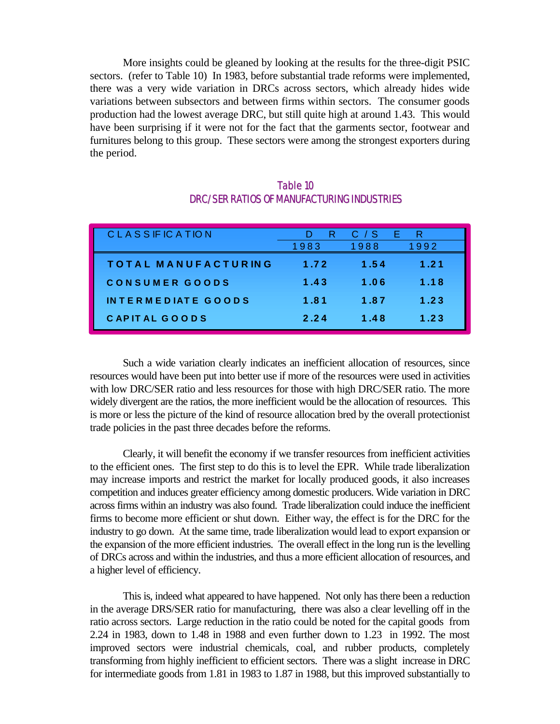More insights could be gleaned by looking at the results for the three-digit PSIC sectors. (refer to Table 10) In 1983, before substantial trade reforms were implemented, there was a very wide variation in DRCs across sectors, which already hides wide variations between subsectors and between firms within sectors. The consumer goods production had the lowest average DRC, but still quite high at around 1.43. This would have been surprising if it were not for the fact that the garments sector, footwear and furnitures belong to this group. These sectors were among the strongest exporters during the period.

| <b>CLASSIFICATION</b>     | R    | E.<br>C / S | R    |
|---------------------------|------|-------------|------|
|                           | 1983 | 1988        | 1992 |
| TOTAL MANUFACTURING       | 1.72 | 1.54        | 1.21 |
| CONSUMER GOODS            | 1.43 | 1.06        | 1.18 |
| <b>INTERMEDIATE GOODS</b> | 1.81 | 1.87        | 1.23 |
| <b>CAPITAL GOODS</b>      | 2.24 | 1.48        | 1.23 |

# Table 10 DRC/SER RATIOS OF MANUFACTURING INDUSTRIES

Such a wide variation clearly indicates an inefficient allocation of resources, since resources would have been put into better use if more of the resources were used in activities with low DRC/SER ratio and less resources for those with high DRC/SER ratio. The more widely divergent are the ratios, the more inefficient would be the allocation of resources. This is more or less the picture of the kind of resource allocation bred by the overall protectionist trade policies in the past three decades before the reforms.

Clearly, it will benefit the economy if we transfer resources from inefficient activities to the efficient ones. The first step to do this is to level the EPR. While trade liberalization may increase imports and restrict the market for locally produced goods, it also increases competition and induces greater efficiency among domestic producers. Wide variation in DRC across firms within an industry was also found. Trade liberalization could induce the inefficient firms to become more efficient or shut down. Either way, the effect is for the DRC for the industry to go down. At the same time, trade liberalization would lead to export expansion or the expansion of the more efficient industries. The overall effect in the long run is the levelling of DRCs across and within the industries, and thus a more efficient allocation of resources, and a higher level of efficiency.

This is, indeed what appeared to have happened. Not only has there been a reduction in the average DRS/SER ratio for manufacturing, there was also a clear levelling off in the ratio across sectors. Large reduction in the ratio could be noted for the capital goods from 2.24 in 1983, down to 1.48 in 1988 and even further down to 1.23 in 1992. The most improved sectors were industrial chemicals, coal, and rubber products, completely transforming from highly inefficient to efficient sectors. There was a slight increase in DRC for intermediate goods from 1.81 in 1983 to 1.87 in 1988, but this improved substantially to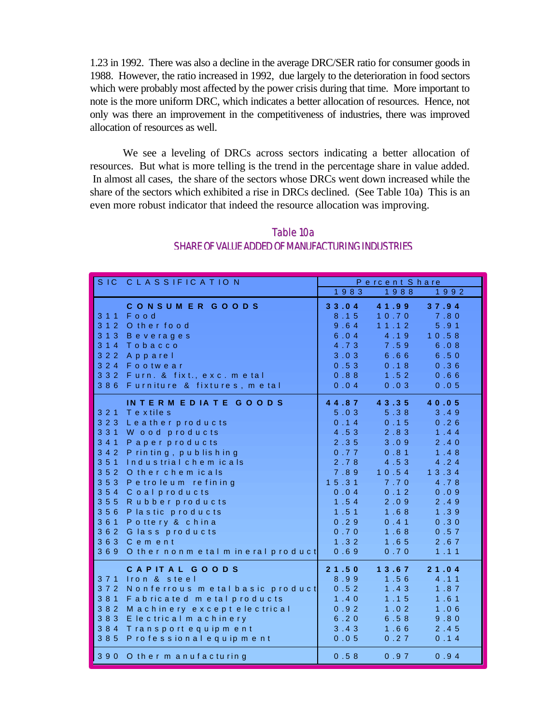1.23 in 1992. There was also a decline in the average DRC/SER ratio for consumer goods in 1988. However, the ratio increased in 1992, due largely to the deterioration in food sectors which were probably most affected by the power crisis during that time. More important to note is the more uniform DRC, which indicates a better allocation of resources. Hence, not only was there an improvement in the competitiveness of industries, there was improved allocation of resources as well.

We see a leveling of DRCs across sectors indicating a better allocation of resources. But what is more telling is the trend in the percentage share in value added. In almost all cases, the share of the sectors whose DRCs went down increased while the share of the sectors which exhibited a rise in DRCs declined. (See Table 10a) This is an even more robust indicator that indeed the resource allocation was improving.

| SIC CLASSIFICATION                                                                                                                                                                                                                                                                                                                                                                                                     | Percent Share                                                                                                                  |                                                                                                                                     |                                                                                                                                    |  |
|------------------------------------------------------------------------------------------------------------------------------------------------------------------------------------------------------------------------------------------------------------------------------------------------------------------------------------------------------------------------------------------------------------------------|--------------------------------------------------------------------------------------------------------------------------------|-------------------------------------------------------------------------------------------------------------------------------------|------------------------------------------------------------------------------------------------------------------------------------|--|
|                                                                                                                                                                                                                                                                                                                                                                                                                        | 1983                                                                                                                           | 1988                                                                                                                                | 1992                                                                                                                               |  |
| CONSUMER GOODS<br>311 Food<br>312 Other food<br>313<br><b>Beverages</b><br>314 Tobacco<br>3 2 2<br>Apparel<br>324 Footwear<br>332 Furn. & fixt., exc. m etal<br>386 Furniture & fixtures, metal                                                                                                                                                                                                                        | 33.04<br>8.15<br>9.64<br>6.04<br>4.73<br>3.03<br>0.53<br>0.88<br>0.04                                                          | 4 1 .9 9<br>10.70<br>11.12<br>4.19<br>7.59<br>6.66<br>0.18<br>1.52<br>0.03                                                          | 37.94<br>7.80<br>5.91<br>10.58<br>6.08<br>6.50<br>0.36<br>0.66<br>0.05                                                             |  |
| <b>INTERMEDIATE GOODS</b><br>321 Textiles<br>Leather products<br>3 2 3<br>3 3 1<br>W ood products<br>341<br>Paper products<br>342 Printing, publishing<br>351<br>Industrial chemicals<br>352 Other chemicals<br>353<br>Petroleum refining<br>354 Coalproducts<br>355<br>Rubber products<br>356<br>Plastic products<br>361<br>Pottery & china<br>362 Glass products<br>363 Cement<br>369 Other nonmetal mineral product | 44.87<br>5.03<br>0.14<br>4.53<br>2.35<br>0.77<br>2.78<br>7.89<br>15.31<br>0.04<br>1.54<br>1.51<br>0.29<br>0.70<br>1.32<br>0.69 | 4 3 .3 5<br>5.38<br>0.15<br>2.83<br>3.09<br>0.81<br>4 .5 3<br>10.54<br>7.70<br>0.12<br>2.09<br>1.68<br>0.41<br>1.68<br>1.65<br>0.70 | 40.05<br>3.49<br>0.26<br>1.44<br>2.40<br>1.48<br>4.24<br>1 3 . 3 4<br>4.78<br>0.09<br>2.49<br>1.39<br>0.30<br>0.57<br>2.67<br>1.11 |  |
| CAPITAL GOODS<br>371 Iron & steel<br>372 Nonferrous metalbasic product<br>381<br>Fabricated metal products<br>382<br>Machinery except electrical<br>383<br>E lectrical m achinery<br>384<br>Transport equipment<br>385 Professional equipment<br>390 Other manufacturing                                                                                                                                               | 21.50<br>8.99<br>0.52<br>1.40<br>0.92<br>6.20<br>3.43<br>0.05<br>0.58                                                          | 13.67<br>1.56<br>1.43<br>1.15<br>1.02<br>6.58<br>1.66<br>0.27<br>0.97                                                               | 21.04<br>4.11<br>1.87<br>1.61<br>1.06<br>9.80<br>$2.45$<br>0.14<br>0.94                                                            |  |

## Table 10a SHARE OF VALUE ADDED OF MANUFACTURING INDUSTRIES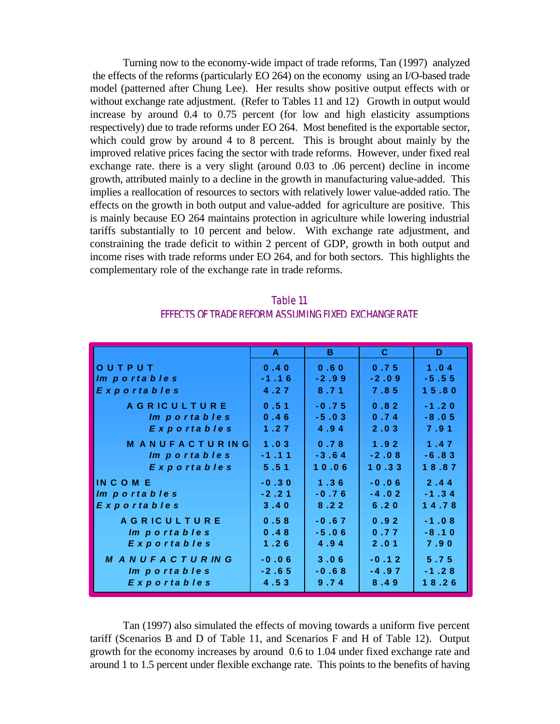Turning now to the economy-wide impact of trade reforms, Tan (1997) analyzed the effects of the reforms (particularly EO 264) on the economy using an I/O-based trade model (patterned after Chung Lee). Her results show positive output effects with or without exchange rate adjustment. (Refer to Tables 11 and 12) Growth in output would increase by around 0.4 to 0.75 percent (for low and high elasticity assumptions respectively) due to trade reforms under EO 264. Most benefited is the exportable sector, which could grow by around 4 to 8 percent. This is brought about mainly by the improved relative prices facing the sector with trade reforms. However, under fixed real exchange rate. there is a very slight (around 0.03 to .06 percent) decline in income growth, attributed mainly to a decline in the growth in manufacturing value-added. This implies a reallocation of resources to sectors with relatively lower value-added ratio. The effects on the growth in both output and value-added for agriculture are positive. This is mainly because EO 264 maintains protection in agriculture while lowering industrial tariffs substantially to 10 percent and below. With exchange rate adjustment, and constraining the trade deficit to within 2 percent of GDP, growth in both output and income rises with trade reforms under EO 264, and for both sectors. This highlights the complementary role of the exchange rate in trade reforms.

|                       | $\mathbf{A}$ | B.      | $\mathbf{C}$ | D       |
|-----------------------|--------------|---------|--------------|---------|
| OUTPUT                | 0.40         | 0.60    | 0.75         | 1.04    |
| Im portables          | $-1.16$      | $-2.99$ | $-2.09$      | $-5.55$ |
| <b>Exportables</b>    | 4.27         | 8.71    | 7.85         | 15.80   |
| <b>AGRICULTURE</b>    | 0.51         | $-0.75$ | 0.82         | $-1.20$ |
| Im portables          | 0.46         | $-5.03$ | 0.74         | $-8.05$ |
| Exportables           | 1.27         | 4.94    | 2.03         | 7.91    |
| <b>MANUFACTURING</b>  | 1.03         | 0.78    | 1.92         | 1.47    |
| Im portables          | $-1.11$      | $-3.64$ | $-2.08$      | $-6.83$ |
| Exportables           | 5.51         | 10.06   | 10.33        | 18.87   |
| INCOME                | $-0.30$      | 1.36    | $-0.06$      | 2.44    |
| Im portables          | $-2, 21$     | $-0.76$ | $-4.02$      | $-1.34$ |
| Exportables           | 3.40         | 8.22    | 6.20         | 14.78   |
| <b>AGRICULTURE</b>    | 0.58         | $-0.67$ | 0.92         | $-1.08$ |
| Im portables          | 0.48         | $-5.06$ | 0.77         | $-8.10$ |
| Exportables           | 1.26         | 4.94    | 2.01         | 7.90    |
| <b>MANUFACTURING</b>  | $-0.06$      | 3.06    | $-0.12$      | 5.75    |
| Im portables          | $-2.65$      | $-0.68$ | $-4.97$      | $-1.28$ |
| $E \times p$ ortables | 4.53         | 9.74    | 8.49         | 18.26   |

Table 11 EFFECTS OF TRADE REFORM ASSUMING FIXED EXCHANGE RATE

Tan (1997) also simulated the effects of moving towards a uniform five percent tariff (Scenarios B and D of Table 11, and Scenarios F and H of Table 12). Output growth for the economy increases by around 0.6 to 1.04 under fixed exchange rate and around 1 to 1.5 percent under flexible exchange rate. This points to the benefits of having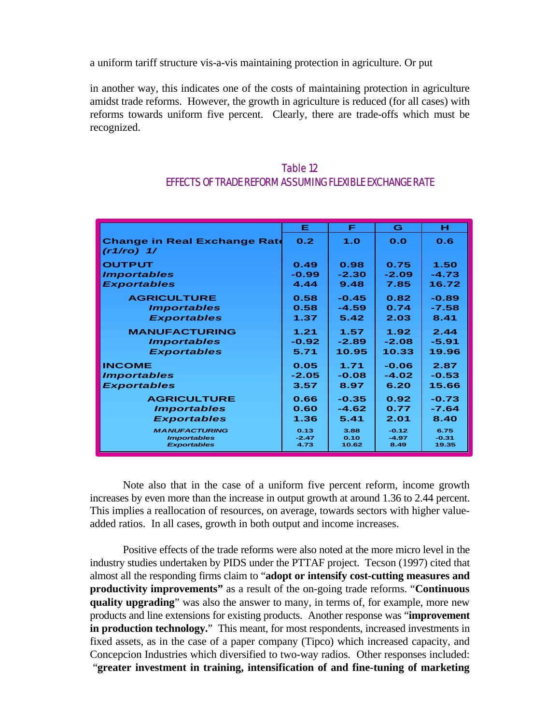a uniform tariff structure vis-a-vis maintaining protection in agriculture. Or put

in another way, this indicates one of the costs of maintaining protection in agriculture amidst trade reforms. However, the growth in agriculture is reduced (for all cases) with reforms towards uniform five percent. Clearly, there are trade-offs which must be recognized.

| Table 12                                                |
|---------------------------------------------------------|
| EFFECTS OF TRADE REFORM ASSUMING FLEXIBLE EXCHANGE RATE |

|                                                       | Е               | F             | G               | н                |
|-------------------------------------------------------|-----------------|---------------|-----------------|------------------|
| <b>Change in Real Exchange Rate</b><br>$(r1/ro)$ $1/$ | 0.2             | 1.0           | 0.0             | 0.6              |
| <b>OUTPUT</b>                                         | 0.49            | 0.98          | 0.75            | 1.50             |
| <i><b>Importables</b></i>                             | $-0.99$         | $-2.30$       | $-2.09$         | $-4.73$          |
| <b>Exportables</b>                                    | 4.44            | 9.48          | 7.85            | 16.72            |
| <b>AGRICULTURE</b>                                    | 0.58            | $-0.45$       | 0.82            | $-0.89$          |
| <i><b>Importables</b></i>                             | 0.58            | $-4.59$       | 0.74            | $-7.58$          |
| <b>Exportables</b>                                    | 1.37            | 5.42          | 2.03            | 8.41             |
| <b>MANUFACTURING</b>                                  | 1.21            | 1.57          | 1.92            | 2.44             |
| <i><b>Importables</b></i>                             | $-0.92$         | $-2.89$       | $-2.08$         | $-5.91$          |
| <b>Exportables</b>                                    | 5.71            | 10.95         | 10.33           | 19.96            |
| <b>INCOME</b>                                         | 0.05            | 1.71          | $-0.06$         | 2.87             |
| <i><b>Importables</b></i>                             | $-2.05$         | $-0.08$       | $-4.02$         | $-0.53$          |
| <b>Exportables</b>                                    | 3.57            | 8.97          | 6.20            | 15.66            |
| <b>AGRICULTURE</b>                                    | 0.66            | $-0.35$       | 0.92            | $-0.73$          |
| <i><b>Importables</b></i>                             | 0.60            | $-4.62$       | 0.77            | $-7.64$          |
| <b>Exportables</b>                                    | 1.36            | 5.41          | 2.01            | 8.40             |
| <b>MANUFACTURING</b>                                  | 0.13            | 3.88          | $-0.12$         | 6.75             |
| <b>Importables</b><br><b>Exportables</b>              | $-2.47$<br>4.73 | 0.10<br>10.62 | $-4.97$<br>8.49 | $-0.31$<br>19.35 |
|                                                       |                 |               |                 |                  |

Note also that in the case of a uniform five percent reform, income growth increases by even more than the increase in output growth at around 1.36 to 2.44 percent. This implies a reallocation of resources, on average, towards sectors with higher valueadded ratios. In all cases, growth in both output and income increases.

Positive effects of the trade reforms were also noted at the more micro level in the industry studies undertaken by PIDS under the PTTAF project. Tecson (1997) cited that almost all the responding firms claim to "**adopt or intensify cost-cutting measures and productivity improvements"** as a result of the on-going trade reforms. "**Continuous quality upgrading**" was also the answer to many, in terms of, for example, more new products and line extensions for existing products. Another response was "**improvement in production technology.**" This meant, for most respondents, increased investments in fixed assets, as in the case of a paper company (Tipco) which increased capacity, and Concepcion Industries which diversified to two-way radios. Other responses included: "**greater investment in training, intensification of and fine-tuning of marketing**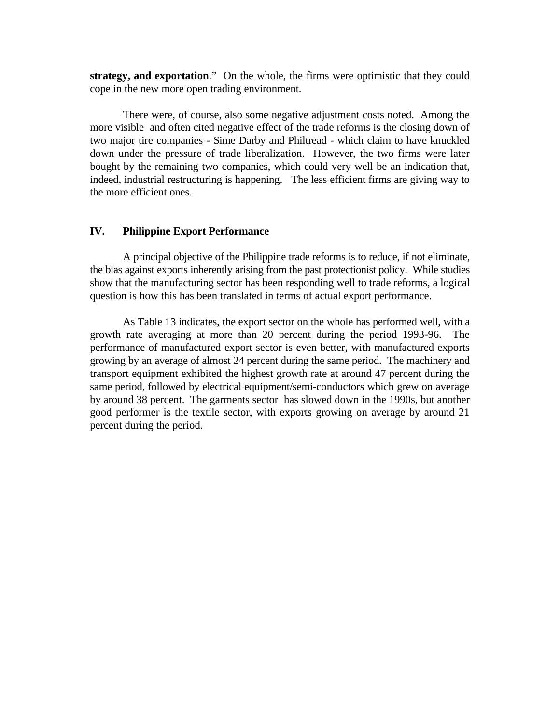**strategy, and exportation**." On the whole, the firms were optimistic that they could cope in the new more open trading environment.

There were, of course, also some negative adjustment costs noted. Among the more visible and often cited negative effect of the trade reforms is the closing down of two major tire companies - Sime Darby and Philtread - which claim to have knuckled down under the pressure of trade liberalization. However, the two firms were later bought by the remaining two companies, which could very well be an indication that, indeed, industrial restructuring is happening. The less efficient firms are giving way to the more efficient ones.

#### **IV. Philippine Export Performance**

A principal objective of the Philippine trade reforms is to reduce, if not eliminate, the bias against exports inherently arising from the past protectionist policy. While studies show that the manufacturing sector has been responding well to trade reforms, a logical question is how this has been translated in terms of actual export performance.

As Table 13 indicates, the export sector on the whole has performed well, with a growth rate averaging at more than 20 percent during the period 1993-96. The performance of manufactured export sector is even better, with manufactured exports growing by an average of almost 24 percent during the same period. The machinery and transport equipment exhibited the highest growth rate at around 47 percent during the same period, followed by electrical equipment/semi-conductors which grew on average by around 38 percent. The garments sector has slowed down in the 1990s, but another good performer is the textile sector, with exports growing on average by around 21 percent during the period.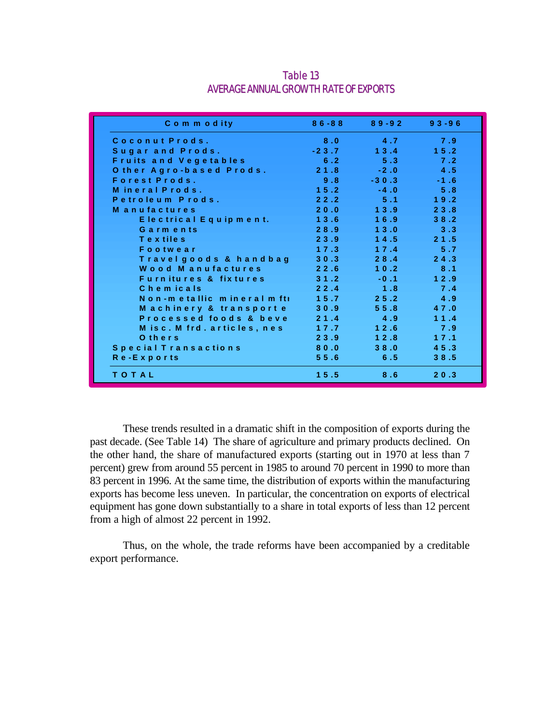| Commodity                        |         | $86 - 88$ $89 - 92$ | $93 - 96$   |
|----------------------------------|---------|---------------------|-------------|
| Coconut Prods.                   | 8.0     | $\sim$ 4.7          | 7.9         |
| Sugar and Prods.                 | $-23.7$ | 13.4                | 15.2        |
| <b>Fruits and Vegetables</b>     | 6.2     |                     | $5.3$ $7.2$ |
| Other Agro-based Prods. 21.8     |         | $-2.0$              | 4.5         |
| Forest Prods.                    | 9.8     | $-30.3$             | $-1.6$      |
| Mineral Prods.                   | 15.2    | $-4.0$              | 5.8         |
| Petroleum Prods.                 | 22.2    | 5.1                 | 19.2        |
| <b>Manufactures</b>              | 20.0    | 13.9                | 23.8        |
| Electrical Equipment. 13.6       |         | 16.9                | 38.2        |
| Garments                         | 28.9    | $13.0 -$            | 3.3         |
| Textiles                         | 23.9    | 14.5                | 21.5        |
| Footwear                         | 17.3    |                     | $17.4$ 5.7  |
| Travelgoods & handbag            | 30.3    | 28.4                | 24.3        |
| Wood Manufactures                | 22.6    | 10.2                | 8.1         |
| <b>Furnitures &amp; fixtures</b> | 31.2    | $-0.1$              | 12.9        |
| Chemicals                        | 22.4    | 1.8                 | 7.4         |
| Non-metallic mineral mftl        | 15.7    | 25.2                | 4.9         |
| Machinery & transporte           | 30.9    | 55.8                | 47.0        |
| Processed foods & beve 21.4      |         | 4.9                 | 11.4        |
| M is c . M frd . articles, nes   | 17.7    | 12.6                | 7.9         |
| Others                           | 23.9    | 12.8                | 17.1        |
| Special Transactions             | 80.0    | 38.0                | 45.3        |
| Re-Exports                       | 55.6    | 6.5                 | 38.5        |
| TOTAL                            | 15.5    | 8.6                 | 20.3        |

Table 13 AVERAGE ANNUAL GROWTH RATE OF EXPORTS

These trends resulted in a dramatic shift in the composition of exports during the past decade. (See Table 14) The share of agriculture and primary products declined. On the other hand, the share of manufactured exports (starting out in 1970 at less than 7 percent) grew from around 55 percent in 1985 to around 70 percent in 1990 to more than 83 percent in 1996. At the same time, the distribution of exports within the manufacturing exports has become less uneven. In particular, the concentration on exports of electrical equipment has gone down substantially to a share in total exports of less than 12 percent from a high of almost 22 percent in 1992.

Thus, on the whole, the trade reforms have been accompanied by a creditable export performance.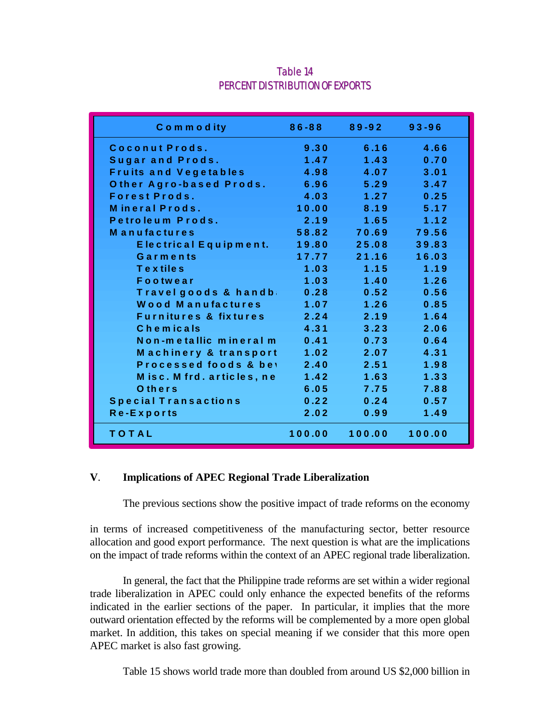| Commodity                             |                                        | $86-88$ $89-92$    | $93 - 96$ |
|---------------------------------------|----------------------------------------|--------------------|-----------|
| Coconut Prods.                        | 9.30                                   | 6.16               | 4.66      |
| Sugar and Prods.                      | 1.47                                   | 1.43               | 0.70      |
| <b>Fruits and Vegetables</b>          | $\overline{4.98}$                      | 4.07               | 3.01      |
| Other Agro-based Prods.               | 6.96                                   | 5.29               | 3.47      |
| <b>Forest Prods.</b>                  | 4.03                                   | $\sim$ 1.27 $\sim$ | 0.25      |
| Mineral Prods.                        | 10.00                                  | 8.19               | 5.17      |
| Petroleum Prods.                      | 2.19                                   | 1.65               | 1.12      |
| <b>Manufactures</b>                   | 58.82                                  | 70.69              | 79.56     |
| Electrical Equipment.                 | 19.80                                  | 25.08              | 39.83     |
| Garments                              | 17.77                                  | 21.16              | 16.03     |
| <b>Textiles</b>                       | 1.03                                   | $-1.15$            | 1.19      |
| Footwear                              | 1.03                                   | 1.40               | 1.26      |
| Travel goods & handb                  | 0.28                                   | 0.52               | 0.56      |
| Wood Manufactures                     | 1.07                                   | 1.26               | 0.85      |
| <b>Furnitures &amp; fixtures</b> 2.24 |                                        | 2.19               | 1.64      |
| Chemicals                             | 4.31                                   | 3.23               | 2.06      |
| Non-metallic mineral m                | 0.41                                   | 0.73               | 0.64      |
| Machinery & transport                 | 1.02                                   | 2.07               | 4.31      |
| Processed foods & be'                 | 2.40<br><b>Service Service Service</b> | 2.51               | 1.98      |
| Misc. M frd. articles, ne             | 1.42                                   | 1.63               | 1.33      |
| Others                                | 6.05                                   | 7.75               | 7.88      |
| <b>Special Transactions</b>           | 0.22                                   | 0.24               | 0.57      |
| Re-Exports                            | 2.02                                   | 0.99               | 1.49      |
| TOTAL                                 |                                        | 100.00 100.00      | 100.00    |

## Table 14 PERCENT DISTRIBUTION OF EXPORTS

### **V**. **Implications of APEC Regional Trade Liberalization**

The previous sections show the positive impact of trade reforms on the economy

in terms of increased competitiveness of the manufacturing sector, better resource allocation and good export performance. The next question is what are the implications on the impact of trade reforms within the context of an APEC regional trade liberalization.

In general, the fact that the Philippine trade reforms are set within a wider regional trade liberalization in APEC could only enhance the expected benefits of the reforms indicated in the earlier sections of the paper. In particular, it implies that the more outward orientation effected by the reforms will be complemented by a more open global market. In addition, this takes on special meaning if we consider that this more open APEC market is also fast growing.

Table 15 shows world trade more than doubled from around US \$2,000 billion in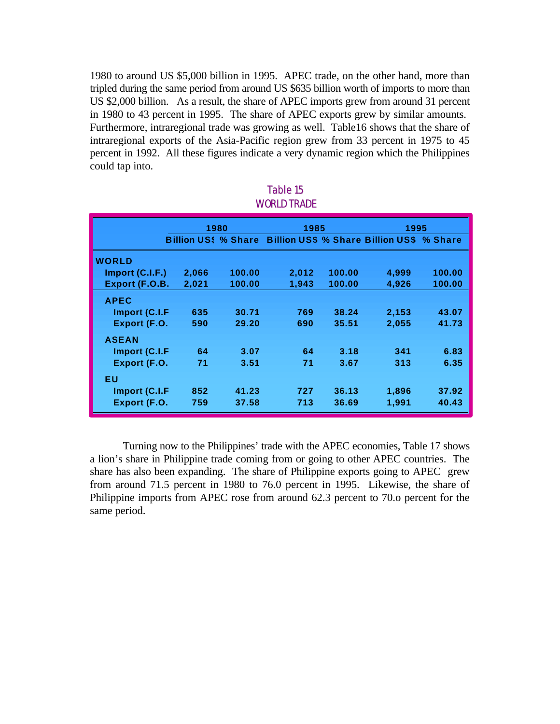1980 to around US \$5,000 billion in 1995. APEC trade, on the other hand, more than tripled during the same period from around US \$635 billion worth of imports to more than US \$2,000 billion. As a result, the share of APEC imports grew from around 31 percent in 1980 to 43 percent in 1995. The share of APEC exports grew by similar amounts. Furthermore, intraregional trade was growing as well. Table16 shows that the share of intraregional exports of the Asia-Pacific region grew from 33 percent in 1975 to 45 percent in 1992. All these figures indicate a very dynamic region which the Philippines could tap into.

|                 | 1980  |        | 1985  |        | 1995                                                                 |        |
|-----------------|-------|--------|-------|--------|----------------------------------------------------------------------|--------|
|                 |       |        |       |        | <b>Billion US: % Share Billion US\$ % Share Billion US\$ % Share</b> |        |
| <b>WORLD</b>    |       |        |       |        |                                                                      |        |
| Import (C.I.F.) | 2,066 | 100.00 | 2,012 | 100.00 | 4,999                                                                | 100.00 |
| Export (F.O.B.  | 2,021 | 100.00 | 1.943 | 100.00 | 4.926                                                                | 100.00 |
| <b>APEC</b>     |       |        |       |        |                                                                      |        |
| Import (C.I.F   | 635   | 30.71  | 769   | 38.24  | 2,153                                                                | 43.07  |
| Export (F.O.    | 590   | 29.20  | 690   | 35.51  | 2,055                                                                | 41.73  |
| <b>ASEAN</b>    |       |        |       |        |                                                                      |        |
| Import (C.I.F   | 64    | 3.07   | 64    | 3.18   | 341                                                                  | 6.83   |
| Export (F.O.    | 71    | 3.51   | 71    | 3.67   | 313                                                                  | 6.35   |
| ΕU              |       |        |       |        |                                                                      |        |
| Import (C.I.F   | 852   | 41.23  | 727   | 36.13  | 1,896                                                                | 37.92  |
| Export (F.O.    | 759   | 37.58  | 713   | 36.69  | 1,991                                                                | 40.43  |

### Table 15 WORLD TRADE

Turning now to the Philippines' trade with the APEC economies, Table 17 shows a lion's share in Philippine trade coming from or going to other APEC countries. The share has also been expanding. The share of Philippine exports going to APEC grew from around 71.5 percent in 1980 to 76.0 percent in 1995. Likewise, the share of Philippine imports from APEC rose from around 62.3 percent to 70.o percent for the same period.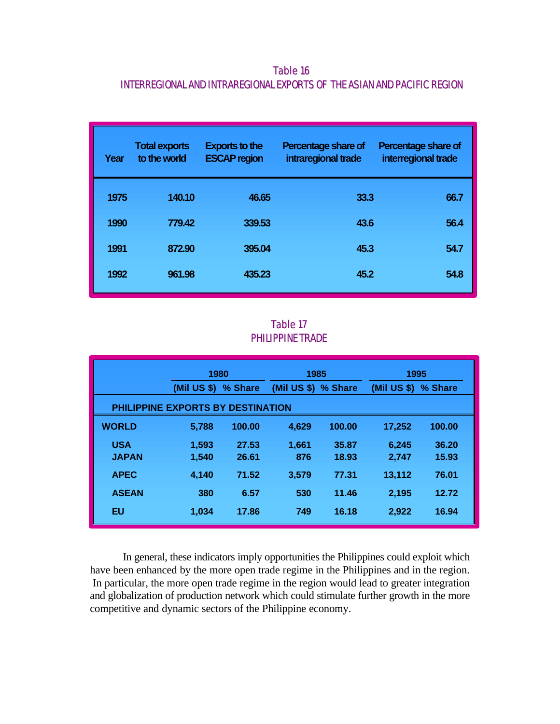Table 16 INTERREGIONAL AND INTRAREGIONAL EXPORTS OF THE ASIAN AND PACIFIC REGION

| Year | <b>Total exports</b><br>to the world | <b>Exports to the</b><br><b>ESCAP region</b> | Percentage share of<br>intraregional trade | Percentage share of<br>interregional trade |
|------|--------------------------------------|----------------------------------------------|--------------------------------------------|--------------------------------------------|
| 1975 | 140.10                               | 46.65                                        | 33.3                                       | 66.7                                       |
| 1990 | 779.42                               | 339.53                                       | 43.6                                       | 56.4                                       |
| 1991 | 872.90                               | 395.04                                       | 45.3                                       | 54.7                                       |
| 1992 | 961.98                               | 435.23                                       | 45.2                                       | 54.8                                       |

# Table 17 PHILIPPINE TRADE

|                                   | 1980          |         | 1985                |        | 1995          |         |
|-----------------------------------|---------------|---------|---------------------|--------|---------------|---------|
|                                   | $(MiI$ US \$) | % Share | (Mil US \$) % Share |        | $(Mil$ US \$) | % Share |
| PHILIPPINE EXPORTS BY DESTINATION |               |         |                     |        |               |         |
| <b>WORLD</b>                      | 5,788         | 100.00  | 4,629               | 100.00 | 17,252        | 100.00  |
| <b>USA</b>                        | 1,593         | 27.53   | 1,661               | 35.87  | 6,245         | 36.20   |
| <b>JAPAN</b>                      | 1,540         | 26.61   | 876                 | 18.93  | 2,747         | 15.93   |
| <b>APEC</b>                       | 4.140         | 71.52   | 3,579               | 77.31  | 13,112        | 76.01   |
| <b>ASEAN</b>                      | 380           | 6.57    | 530                 | 11.46  | 2,195         | 12.72   |
| EU                                | 1,034         | 17.86   | 749                 | 16.18  | 2,922         | 16.94   |

In general, these indicators imply opportunities the Philippines could exploit which have been enhanced by the more open trade regime in the Philippines and in the region. In particular, the more open trade regime in the region would lead to greater integration and globalization of production network which could stimulate further growth in the more competitive and dynamic sectors of the Philippine economy.